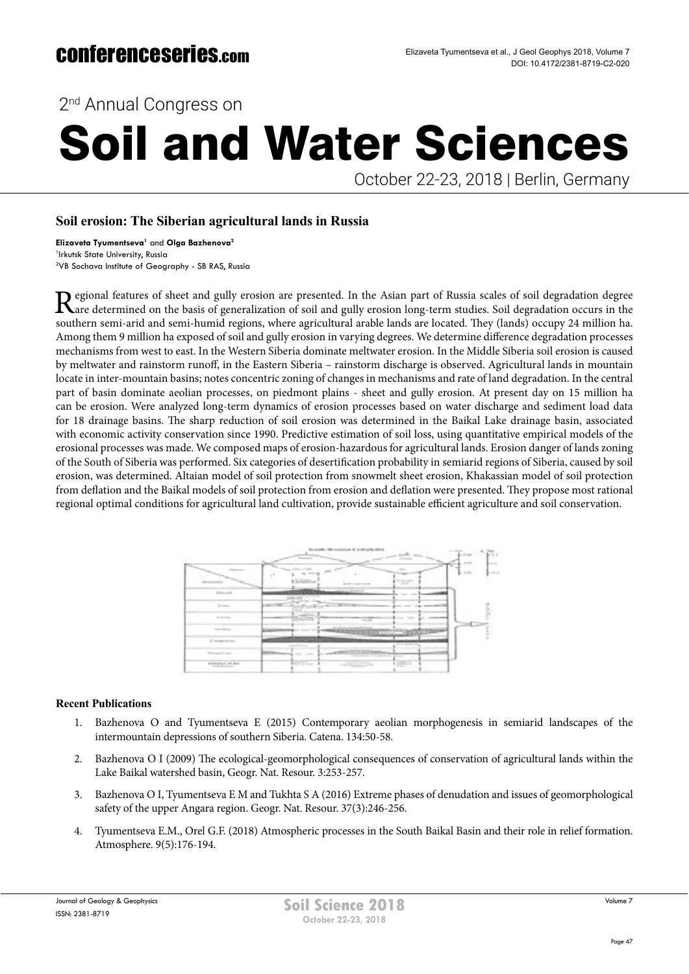2<sup>nd</sup> Annual Congress on

# Soil and Water Sciences

October 22-23, 2018 | Berlin, Germany

## **Soil erosion: The Siberian agricultural lands in Russia**

**Elizaveta Tyumentseva1** and **Olga Bazhenova2** 1 Irkutsk State University, Russia 2 VB Sochava Institute of Geography - SB RAS, Russia

Regional features of sheet and gully erosion are presented. In the Asian part of Russia scales of soil degradation degree<br>Rare determined on the basis of generalization of soil and gully erosion long-term studies. Soil deg southern semi-arid and semi-humid regions, where agricultural arable lands are located. They (lands) occupy 24 million ha. Among them 9 million ha exposed of soil and gully erosion in varying degrees. We determine difference degradation processes mechanisms from west to east. In the Western Siberia dominate meltwater erosion. In the Middle Siberia soil erosion is caused by meltwater and rainstorm runoff, in the Eastern Siberia – rainstorm discharge is observed. Agricultural lands in mountain locate in inter-mountain basins; notes concentric zoning of changes in mechanisms and rate of land degradation. In the central part of basin dominate aeolian processes, on piedmont plains - sheet and gully erosion. At present day on 15 million ha can be erosion. Were analyzed long-term dynamics of erosion processes based on water discharge and sediment load data for 18 drainage basins. The sharp reduction of soil erosion was determined in the Baikal Lake drainage basin, associated with economic activity conservation since 1990. Predictive estimation of soil loss, using quantitative empirical models of the erosional processes was made. We composed maps of erosion-hazardous for agricultural lands. Erosion danger of lands zoning of the South of Siberia was performed. Six categories of desertification probability in semiarid regions of Siberia, caused by soil erosion, was determined. Altaian model of soil protection from snowmelt sheet erosion, Khakassian model of soil protection from deflation and the Baikal models of soil protection from erosion and deflation were presented. They propose most rational regional optimal conditions for agricultural land cultivation, provide sustainable efficient agriculture and soil conservation.

|                                                                                                              | Labor Marcockettes, 613 (413) 244-24522<br>$1 - 2764$                                                  |
|--------------------------------------------------------------------------------------------------------------|--------------------------------------------------------------------------------------------------------|
| \$110.00                                                                                                     | 1.11<br>$1 - 1 - 1$<br>navn<br><b>Literature</b>                                                       |
| <b>Allengard</b>                                                                                             | <b>A R. P. LEWIS</b>                                                                                   |
| <b>Simula</b>                                                                                                |                                                                                                        |
| <b>Scribner</b>                                                                                              | -<br>-<br><b>HOME</b>                                                                                  |
| ALCOHOL: N<br>$\frac{1}{2} \left( \frac{1}{2} \right) \left( \frac{1}{2} \right) \left( \frac{1}{2} \right)$ | --<br>∾                                                                                                |
| <b>Windows excess</b><br>This position was                                                                   | Mark Arabica<br>----<br><b>ALBERT</b>                                                                  |
| \$100,000,000                                                                                                | - -<br><b>BOSTO</b><br>$\mathbb{R}$ is $\mathbb{R}$ and $\mathbb{R}$<br><b>STATE</b><br><b>College</b> |

### **Recent Publications**

- 1. Bazhenova O and Tyumentseva E (2015) Contemporary aeolian morphogenesis in semiarid landscapes of the intermountain depressions of southern Siberia. Catena. 134:50-58.
- 2. Bazhenova O I (2009) The ecological-geomorphological consequences of conservation of agricultural lands within the Lake Baikal watershed basin, Geogr. Nat. Resour. 3:253-257.
- 3. Bazhenova O I, Tyumentseva E M and Tukhta S A (2016) Extreme phases of denudation and issues of geomorphological safety of the upper Angara region. Geogr. Nat. Resour. 37(3):246-256.
- 4. Tyumentseva E.M., Orel G.F. (2018) Atmospheric processes in the South Baikal Basin and their role in relief formation. Atmosphere. 9(5):176-194.